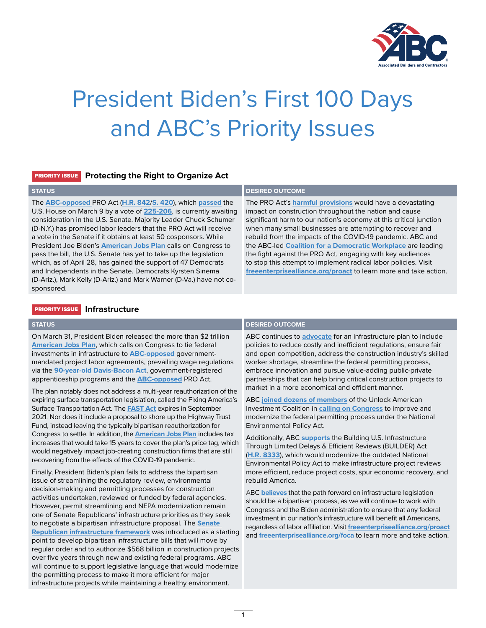

# President Biden's First 100 Days and ABC's Priority Issues

### PRIORITY ISSUE **Protecting the Right to Organize Act**

The **[ABC-opposed](https://freeenterprisealliance.org/proact/)** PRO Act (**[H.R. 842](https://www.congress.gov/bill/117th-congress/house-bill/842/cosponsors?r=2&s=1&searchResultViewType=expanded)**/**[S. 420](https://www.congress.gov/bill/117th-congress/senate-bill/420/cosponsors)**), which **[passed](https://abc.org/News-Media/Newsline/entryid/18622/pro-act-passes-house-abc-encourages-members-to-contact-undecided-democratic-senators)** the U.S. House on March 9 by a vote of **[225-206](https://clerk.house.gov/Votes/202170)**, is currently awaiting consideration in the U.S. Senate. Majority Leader Chuck Schumer (D-N.Y.) has promised labor leaders that the PRO Act will receive a vote in the Senate if it obtains at least 50 cosponsors. While President Joe Biden's **[American Jobs Plan](https://www.whitehouse.gov/briefing-room/statements-releases/2021/03/31/fact-sheet-the-american-jobs-plan/)** calls on Congress to pass the bill, the U.S. Senate has yet to take up the legislation which, as of April 28, has gained the support of 47 Democrats and Independents in the Senate. Democrats Kyrsten Sinema (D-Ariz.), Mark Kelly (D-Ariz.) and Mark Warner (D-Va.) have not cosponsored.

### **STATUS DESIRED OUTCOME**

The PRO Act's **[harmful provisions](https://freeenterprisealliance.org/wp-content/uploads/2021/03/ABC_ProAct_1-pager-1.pdf)** would have a devastating impact on construction throughout the nation and cause significant harm to our nation's economy at this critical junction when many small businesses are attempting to recover and rebuild from the impacts of the COVID-19 pandemic. ABC and the ABC-led **[Coalition for a Democratic Workplace](https://myprivateballot.com/issues/pro-act/)** are leading the fight against the PRO Act, engaging with key audiences to stop this attempt to implement radical labor policies. Visit **[freeenterprisealliance.org/proact](https://freeenterprisealliance.org/proact/)** to learn more and take action.

### PRIORITY ISSUE **Infrastructure**

On March 31, President Biden released the more than \$2 trillion **[American Jobs Plan](https://www.whitehouse.gov/briefing-room/statements-releases/2021/03/31/fact-sheet-the-american-jobs-plan/)**, which calls on Congress to tie federal investments in infrastructure to **[ABC-opposed](https://abc.org/Portals/1/2021%20Files/ABC_The-Fair-and-Open-Competition-Act_2-pager-1.pdf?ver=2021-03-16-130142-357)** governmentmandated project labor agreements, prevailing wage regulations via the **[90-year-old Davis-Bacon Act](https://abc.org/News-Media/Newsline/entryid/18540/survey-says-abc-members-strongly-support-repeal-or-reforms-to-costly-davis-bacon-act-and-prevailing-wage-laws)**, government-registered apprenticeship programs and the **[ABC-opposed](https://x.jmxded153.net/z.z?l=aHR0cHM6Ly9hYmMub3JnL1BvcnRhbHMvMS8yMDIxJTIwRmlsZXMvQUJDX1Byb0FjdF8xLXBhZ2VyLTEucGRmP3Zlcj0yMDIxLTAzLTMxLTEwMTU0OS0yMTc%3d&r=13230475575&d=885354&p=1&t=h&h=c1483f0784b0bd1d4ac1e1d3604d014f)** PRO Act.

The plan notably does not address a multi-year reauthorization of the expiring surface transportation legislation, called the Fixing America's Surface Transportation Act. The **[FAST Act](https://www.fhwa.dot.gov/fastact/)** expires in September 2021. Nor does it include a proposal to shore up the Highway Trust Fund, instead leaving the typically bipartisan reauthorization for Congress to settle. In addition, the **[American Jobs Plan](https://abc.org/News-Media/Newsline/entryid/18657/biden-infrastructure-plan-rife-with-abc-opposed-labor-policies)** includes tax increases that would take 15 years to cover the plan's price tag, which would negatively impact job-creating construction firms that are still recovering from the effects of the COVID-19 pandemic.

Finally, President Biden's plan fails to address the bipartisan issue of streamlining the regulatory review, environmental decision-making and permitting processes for construction activities undertaken, reviewed or funded by federal agencies. However, permit streamlining and NEPA modernization remain one of Senate Republicans' infrastructure priorities as they seek to negotiate a bipartisan infrastructure proposal. The **[Senate](https://www.abc.org/Portals/1/2021%20Files/full-document-gop-infrastructure-plan-6.pdf?ver=2021-04-22-151702-187)  [Republican infrastructure framework](https://www.abc.org/Portals/1/2021%20Files/full-document-gop-infrastructure-plan-6.pdf?ver=2021-04-22-151702-187)** was introduced as a starting point to develop bipartisan infrastructure bills that will move by regular order and to authorize \$568 billion in construction projects over five years through new and existing federal programs. ABC will continue to support legislative language that would modernize the permitting process to make it more efficient for major infrastructure projects while maintaining a healthy environment.

### **DESIRED OUTCOME**<br> **DESIRED OUTCOME**

ABC continues to **[advocate](https://abc.org/News-Media/News-Releases/entryid/18656/abc-calls-for-fair-and-open-competition-bipartisan-ideas-in-infrastructure-plan)** for an infrastructure plan to include policies to reduce costly and inefficient regulations, ensure fair and open competition, address the construction industry's skilled worker shortage, streamline the federal permitting process, embrace innovation and pursue value-adding public-private partnerships that can help bring critical construction projects to market in a more economical and efficient manner.

ABC **[joined dozens of members](https://abc.org/Portals/1/Documents/PoliticsPolicy/NEPA%20Modernization%20Coalition%20Letter%20to%20Hill%20-%203_2_2021.pdf?ver=2021-03-02-141016-047×tamp=1614712230618)** of the Unlock American Investment Coalition in **[calling on Congress](https://abc.org/Portals/1/Documents/PoliticsPolicy/NEPA%20Modernization%20Coalition%20Letter%20to%20Hill%20-%203_2_2021.pdf?ver=2021-03-02-141016-047×tamp=1614712230618)** to improve and modernize the federal permitting process under the National Environmental Policy Act.

Additionally, ABC **[supports](https://abc.org/News-Media/Newsline/entryid/18703/abc-applauds-the-reintroduction-of-the-builder-act-to-modernize-nepa)** the Building U.S. Infrastructure Through Limited Delays & Efficient Reviews (BUILDER) Act (**[H.R. 8333](https://republicans-transportation.house.gov/builder-act/)**), which would modernize the outdated National Environmental Policy Act to make infrastructure project reviews more efficient, reduce project costs, spur economic recovery, and rebuild America.

ABC **[believes](https://abc.org/News-Media/News-Releases/entryid/18706/abc-reacts-to-republican-lawmakers-infrastructure-framework)** that the path forward on infrastructure legislation should be a bipartisan process, as we will continue to work with Congress and the Biden administration to ensure that any federal investment in our nation's infrastructure will benefit all Americans, regardless of labor affiliation. Visit **[freeenterprisealliance.org/proact](https://freeenterprisealliance.org/proact/)** and **[freeenterprisealliance.org/foca](https://freeenterprisealliance.org/foca/)** to learn more and take action.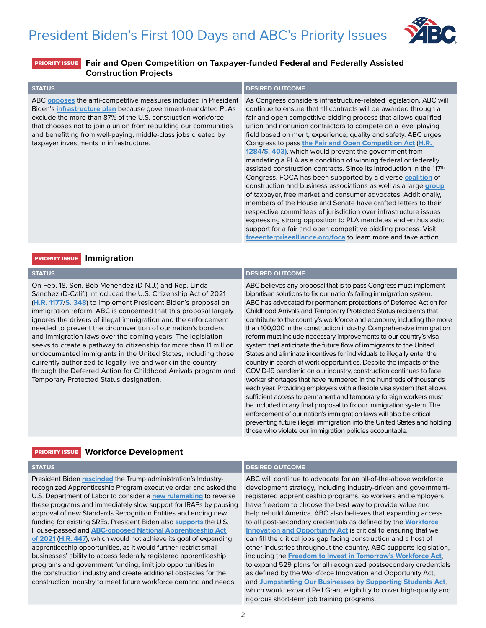

### PRIORITY ISSUE **Fair and Open Competition on Taxpayer-funded Federal and Federally Assisted Construction Projects**

| <b>STATUS</b>                                                                                                                                                                                                                                                                                                                                                                    | <b>DESIRED OUTCOME</b>                                                                                                                                                                                                                                                                                                                                                                                                                                                                                                                                                                                                                                                                                                                                                                                                                                                                                                                                                                                                                                                                                                                                     |
|----------------------------------------------------------------------------------------------------------------------------------------------------------------------------------------------------------------------------------------------------------------------------------------------------------------------------------------------------------------------------------|------------------------------------------------------------------------------------------------------------------------------------------------------------------------------------------------------------------------------------------------------------------------------------------------------------------------------------------------------------------------------------------------------------------------------------------------------------------------------------------------------------------------------------------------------------------------------------------------------------------------------------------------------------------------------------------------------------------------------------------------------------------------------------------------------------------------------------------------------------------------------------------------------------------------------------------------------------------------------------------------------------------------------------------------------------------------------------------------------------------------------------------------------------|
| ABC opposes the anti-competitive measures included in President<br>Biden's infrastructure plan because government-mandated PLAs<br>exclude the more than 87% of the U.S. construction workforce<br>that chooses not to join a union from rebuilding our communities<br>and benefitting from well-paying, middle-class jobs created by<br>taxpayer investments in infrastructure. | As Congress considers infrastructure-related legislation, ABC will<br>continue to ensure that all contracts will be awarded through a<br>fair and open competitive bidding process that allows qualified<br>union and nonunion contractors to compete on a level playing<br>field based on merit, experience, quality and safety. ABC urges<br>Congress to pass the Fair and Open Competition Act (H.R.<br>1284/S. 403), which would prevent the government from<br>mandating a PLA as a condition of winning federal or federally<br>assisted construction contracts. Since its introduction in the $117th$<br>Congress, FOCA has been supported by a diverse coalition of<br>construction and business associations as well as a large group<br>of taxpayer, free market and consumer advocates. Additionally,<br>members of the House and Senate have drafted letters to their<br>respective committees of jurisdiction over infrastructure issues<br>expressing strong opposition to PLA mandates and enthusiastic<br>support for a fair and open competitive bidding process. Visit<br>freeenterprisealliance.org/foca to learn more and take action. |

### PRIORITY ISSUE **Immigration**

On Feb. 18, Sen. Bob Menendez (D-N.J.) and Rep. Linda Sanchez (D-Calif.) introduced the U.S. Citizenship Act of 2021 (**[H.R. 1177](https://www.congress.gov/bill/117th-congress/house-bill/1177/text)**/**[S. 348](https://www.congress.gov/bill/117th-congress/senate-bill/348/text)**) to implement President Biden's proposal on immigration reform. ABC is concerned that this proposal largely ignores the drivers of illegal immigration and the enforcement needed to prevent the circumvention of our nation's borders and immigration laws over the coming years. The legislation seeks to create a pathway to citizenship for more than 11 million undocumented immigrants in the United States, including those currently authorized to legally live and work in the country through the Deferred Action for Childhood Arrivals program and Temporary Protected Status designation.

### **STATUS DESIRED OUTCOME**

ABC believes any proposal that is to pass Congress must implement bipartisan solutions to fix our nation's failing immigration system. ABC has advocated for permanent protections of Deferred Action for Childhood Arrivals and Temporary Protected Status recipients that contribute to the country's workforce and economy, including the more than 100,000 in the construction industry. Comprehensive immigration reform must include necessary improvements to our country's visa system that anticipate the future flow of immigrants to the United States and eliminate incentives for individuals to illegally enter the country in search of work opportunities. Despite the impacts of the COVID-19 pandemic on our industry, construction continues to face worker shortages that have numbered in the hundreds of thousands each year. Providing employers with a flexible visa system that allows sufficient access to permanent and temporary foreign workers must be included in any final proposal to fix our immigration system. The enforcement of our nation's immigration laws will also be critical preventing future illegal immigration into the United States and holding those who violate our immigration policies accountable.

### PRIORITY ISSUE **Workforce Development**

President Biden **[rescinded](https://www.abc.org/News-Media/Newsline/entryid/18492/biden-rescinds-trump-irap-executive-order-and-supports-abc-opposed-apprenticeship-bill)** the Trump administration's Industryrecognized Apprenticeship Program executive order and asked the U.S. Department of Labor to consider a **[new rulemaking](https://www.whitehouse.gov/briefing-room/statements-releases/2021/02/17/fact-sheet-biden-administration-to-take-steps-to-bolster-registered-apprenticeships/)** to reverse these programs and immediately slow support for IRAPs by pausing approval of new Standards Recognition Entities and ending new funding for existing SREs. President Biden also **[supports](https://www.whitehouse.gov/briefing-room/statements-releases/2021/02/17/fact-sheet-biden-administration-to-take-steps-to-bolster-registered-apprenticeships/)** the U.S. House-passed and **[ABC-opposed National Apprenticeship Act](https://www.abc.org/News-Media/Newsline/entryid/18492/biden-rescinds-trump-irap-executive-order-and-supports-abc-opposed-apprenticeship-bill)  [of 2021](https://www.abc.org/News-Media/Newsline/entryid/18492/biden-rescinds-trump-irap-executive-order-and-supports-abc-opposed-apprenticeship-bill)** (**[H.R. 447](https://www.congress.gov/bill/117th-congress/house-bill/447)**), which would not achieve its goal of expanding apprenticeship opportunities, as it would further restrict small businesses' ability to access federally registered apprenticeship programs and government funding, limit job opportunities in the construction industry and create additional obstacles for the construction industry to meet future workforce demand and needs.

### **DESIRED OUTCOME**<br> **DESIRED OUTCOME**

ABC will continue to advocate for an all-of-the-above workforce development strategy, including industry-driven and governmentregistered apprenticeship programs, so workers and employers have freedom to choose the best way to provide value and help rebuild America. ABC also believes that expanding access to all post-secondary credentials as defined by the **[Workforce](https://www.dol.gov/agencies/eta/wioa/about)  [Innovation and Opportunity Act](https://www.dol.gov/agencies/eta/wioa/about)** is critical to ensuring that we can fill the critical jobs gap facing construction and a host of other industries throughout the country. ABC supports legislation, including the **[Freedom to Invest in Tomorrow's Workforce Act](https://spanberger.house.gov/news/documentsingle.aspx?DocumentID=3667#:~:text=Specifically%2C%20the%20bipartisan%20Freedom%20to,as%20providing%20reputable%20credentials%20in)**, to expand 529 plans for all recognized postsecondary credentials as defined by the Workforce Innovation and Opportunity Act, and **[Jumpstarting Our Businesses by Supporting Students Act](https://www.kaine.senate.gov/press-releases/kaine-portman-levin-and-gonzalez-introduce-bipartisan-bicameral-bill-to-help-more-americans-access-jobs-training_get-back-to-work#:~:text=The%20Kaine%2DPortman%20JOBS%20Act,that%20offer%20family%2Dsustaining%20wages.&text=The%20JOBS%20Act%20is%20a%20smart%20investment%20in%20America)**, which would expand Pell Grant eligibility to cover high-quality and rigorous short-term job training programs.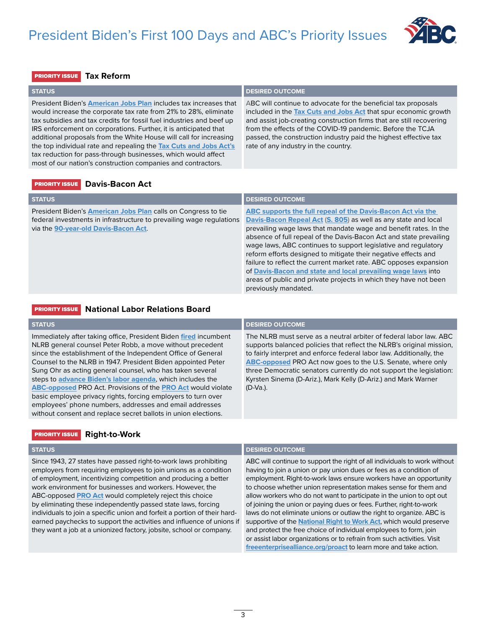## President Biden's First 100 Days and ABC's Priority Issues



### PRIORITY ISSUE **Tax Reform**

**STATUS DESIRED OUTCOME** 

President Biden's **[American Jobs Plan](https://www.abc.org/News-Media/Newsline/entryid/18657/biden-infrastructure-plan-rife-with-abc-opposed-labor-policies)** includes tax increases that would increase the corporate tax rate from 21% to 28%, eliminate tax subsidies and tax credits for fossil fuel industries and beef up IRS enforcement on corporations. Further, it is anticipated that additional proposals from the White House will call for increasing the top individual rate and repealing the **[Tax Cuts and Jobs Act's](https://abc.org/News-Media/News-Releases/entryid/9933/abc-celebrates-passage-of-historic-tax-reform-bill)** tax reduction for pass-through businesses, which would affect most of our nation's construction companies and contractors.

ABC will continue to advocate for the beneficial tax proposals included in the **[Tax Cuts and Jobs Act](https://abc.org/News-Media/News-Releases/entryid/15225/tax-reform-enables-abc-members-to-hire-and-train-more-construction-industry-workers)** that spur economic growth and assist job-creating construction firms that are still recovering from the effects of the COVID-19 pandemic. Before the TCJA passed, the construction industry paid the highest effective tax rate of any industry in the country.

### PRIORITY ISSUE **Davis-Bacon Act**

| <b>STATUS</b>                                                                                                                                                                        | <b>DESIRED OUTCOME</b>                                                                                                                                                                                                                                                                                                                                                                                                                                                                                                                                                                                                                       |
|--------------------------------------------------------------------------------------------------------------------------------------------------------------------------------------|----------------------------------------------------------------------------------------------------------------------------------------------------------------------------------------------------------------------------------------------------------------------------------------------------------------------------------------------------------------------------------------------------------------------------------------------------------------------------------------------------------------------------------------------------------------------------------------------------------------------------------------------|
| President Biden's <b>American Jobs Plan</b> calls on Congress to tie<br>federal investments in infrastructure to prevailing wage regulations<br>via the 90-year-old Davis-Bacon Act. | ABC supports the full repeal of the Davis-Bacon Act via the<br>Davis-Bacon Repeal Act (S. 805) as well as any state and local<br>prevailing wage laws that mandate wage and benefit rates. In the<br>absence of full repeal of the Davis-Bacon Act and state prevailing<br>wage laws, ABC continues to support legislative and regulatory<br>reform efforts designed to mitigate their negative effects and<br>failure to reflect the current market rate. ABC opposes expansion<br>of Davis-Bacon and state and local prevailing wage laws into<br>areas of public and private projects in which they have not been<br>previously mandated. |

### PRIORITY ISSUE **National Labor Relations Board**

| <b>STATUS</b>                                                                                                                                                                                                                                                                                                                                                                                                                                                                                                                                                                                                                                         | <b>DESIRED OUTCOME</b>                                                                                                                                                                                                                                                                                                                                                                                                                           |
|-------------------------------------------------------------------------------------------------------------------------------------------------------------------------------------------------------------------------------------------------------------------------------------------------------------------------------------------------------------------------------------------------------------------------------------------------------------------------------------------------------------------------------------------------------------------------------------------------------------------------------------------------------|--------------------------------------------------------------------------------------------------------------------------------------------------------------------------------------------------------------------------------------------------------------------------------------------------------------------------------------------------------------------------------------------------------------------------------------------------|
| Immediately after taking office, President Biden fired incumbent<br>NLRB general counsel Peter Robb, a move without precedent<br>since the establishment of the Independent Office of General<br>Counsel to the NLRB in 1947. President Biden appointed Peter<br>Sung Ohr as acting general counsel, who has taken several<br>steps to advance Biden's labor agenda, which includes the<br>ABC-opposed PRO Act. Provisions of the PRO Act would violate<br>basic employee privacy rights, forcing employers to turn over<br>employees' phone numbers, addresses and email addresses<br>without consent and replace secret ballots in union elections. | The NLRB must serve as a neutral arbiter of federal labor law. ABC<br>supports balanced policies that reflect the NLRB's original mission,<br>to fairly interpret and enforce federal labor law. Additionally, the<br><b>ABC-opposed PRO Act now goes to the U.S. Senate, where only</b><br>three Democratic senators currently do not support the legislation:<br>Kyrsten Sinema (D-Ariz.), Mark Kelly (D-Ariz.) and Mark Warner<br>$(D-Va.)$ . |

### PRIORITY ISSUE **Right-to-Work**

Since 1943, 27 states have passed right-to-work laws prohibiting employers from requiring employees to join unions as a condition of employment, incentivizing competition and producing a better work environment for businesses and workers. However, the ABC-opposed **[PRO Act](https://abc.org/Portals/1/2021%20Files/ABC%20Key%20Vote%20NO%20on%20PRO%20Act%20(H.R.%20842).pdf?ver=2021-03-08-120308-750×tamp=1615223003622)** would completely reject this choice by eliminating these independently passed state laws, forcing individuals to join a specific union and forfeit a portion of their hardearned paychecks to support the activities and influence of unions if they want a job at a unionized factory, jobsite, school or company.

### **STATUS DESIRED OUTCOME**

ABC will continue to support the right of all individuals to work without having to join a union or pay union dues or fees as a condition of employment. Right-to-work laws ensure workers have an opportunity to choose whether union representation makes sense for them and allow workers who do not want to participate in the union to opt out of joining the union or paying dues or fees. Further, right-to-work laws do not eliminate unions or outlaw the right to organize. ABC is supportive of the **[National Right to Work Act](https://www.paul.senate.gov/sites/default/files/page-attachments/WIL21170.pdf)**, which would preserve and protect the free choice of individual employees to form, join or assist labor organizations or to refrain from such activities. Visit **[freeenterprisealliance.org/proact](https://freeenterprisealliance.org/proact/)** to learn more and take action.